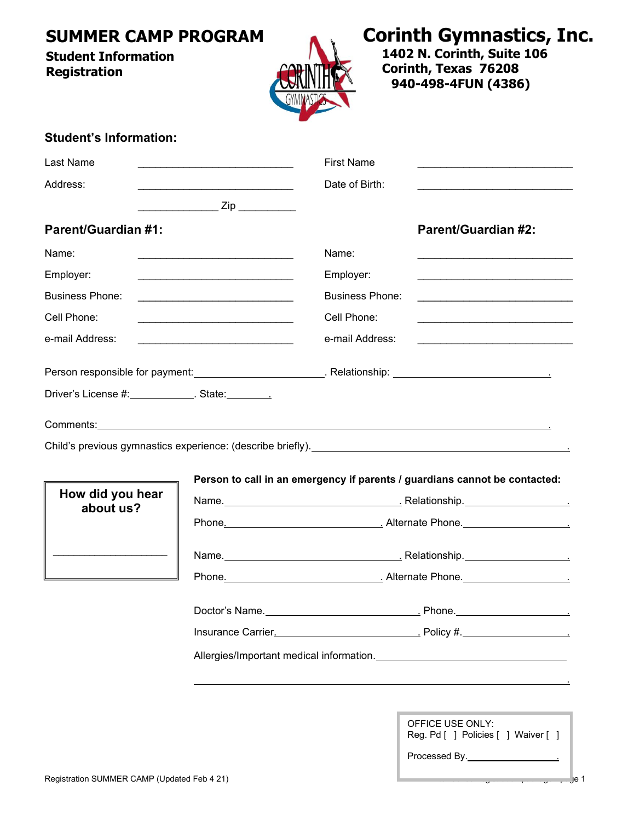# **SUMMER CAMP PROGRAM**

#### **Student Information Registration**



**Corinth Gymnastics, Inc.**

**1402 N. Corinth, Suite 106 Corinth, Texas 76208 940-498-4FUN (4386)** 

#### **Student's Information:**

| Last Name                                                                                                                           | <u> 1989 - Johann Barn, amerikan besteman (h. 1989)</u>                                   | <b>First Name</b>      |                                                                                                                                                                                                                                    |  |  |
|-------------------------------------------------------------------------------------------------------------------------------------|-------------------------------------------------------------------------------------------|------------------------|------------------------------------------------------------------------------------------------------------------------------------------------------------------------------------------------------------------------------------|--|--|
| Address:<br><u> 1989 - Johann Barbara, martin amerikan basa</u>                                                                     |                                                                                           | Date of Birth:         |                                                                                                                                                                                                                                    |  |  |
|                                                                                                                                     | ______________________ Zip ____________                                                   |                        |                                                                                                                                                                                                                                    |  |  |
| <b>Parent/Guardian #1:</b>                                                                                                          |                                                                                           |                        | <b>Parent/Guardian #2:</b>                                                                                                                                                                                                         |  |  |
| Name:                                                                                                                               |                                                                                           | Name:                  |                                                                                                                                                                                                                                    |  |  |
| Employer:                                                                                                                           | the control of the control of the control of the control of the control of the control of | Employer:              |                                                                                                                                                                                                                                    |  |  |
| <b>Business Phone:</b>                                                                                                              |                                                                                           | <b>Business Phone:</b> |                                                                                                                                                                                                                                    |  |  |
| Cell Phone:<br><u> 1989 - Johann John Stone, mars eta bat eta bat eta bat eta bat eta bat eta bat eta bat eta bat eta bat eta b</u> |                                                                                           | Cell Phone:            |                                                                                                                                                                                                                                    |  |  |
| e-mail Address:                                                                                                                     |                                                                                           | e-mail Address:        | <u> 1989 - Johann John Stone, mars et al. (</u>                                                                                                                                                                                    |  |  |
|                                                                                                                                     |                                                                                           |                        |                                                                                                                                                                                                                                    |  |  |
| Driver's License #: ____________. State: _______.                                                                                   |                                                                                           |                        |                                                                                                                                                                                                                                    |  |  |
|                                                                                                                                     |                                                                                           |                        |                                                                                                                                                                                                                                    |  |  |
|                                                                                                                                     |                                                                                           |                        | Comments: <u>comments:</u> comments: comments: comments: comments: comments: comments: comments: comments: comments: comments: comments: comments: comments: comments: comments: comments: comments: comments: comments: comments: |  |  |
|                                                                                                                                     |                                                                                           |                        |                                                                                                                                                                                                                                    |  |  |
|                                                                                                                                     |                                                                                           |                        | Person to call in an emergency if parents / guardians cannot be contacted:                                                                                                                                                         |  |  |
| How did you hear<br>about us?                                                                                                       |                                                                                           |                        |                                                                                                                                                                                                                                    |  |  |
|                                                                                                                                     |                                                                                           |                        |                                                                                                                                                                                                                                    |  |  |
|                                                                                                                                     |                                                                                           |                        |                                                                                                                                                                                                                                    |  |  |
| the control of the control of the control of the                                                                                    |                                                                                           |                        |                                                                                                                                                                                                                                    |  |  |
|                                                                                                                                     |                                                                                           |                        |                                                                                                                                                                                                                                    |  |  |
|                                                                                                                                     |                                                                                           |                        |                                                                                                                                                                                                                                    |  |  |
|                                                                                                                                     |                                                                                           |                        | Insurance Carrier. <u>Carrier and Communications</u> Policy #.                                                                                                                                                                     |  |  |
|                                                                                                                                     |                                                                                           |                        |                                                                                                                                                                                                                                    |  |  |
|                                                                                                                                     |                                                                                           |                        |                                                                                                                                                                                                                                    |  |  |
|                                                                                                                                     |                                                                                           |                        |                                                                                                                                                                                                                                    |  |  |

| OFFICE USE ONLY:                    |  |  |  |  |  |  |
|-------------------------------------|--|--|--|--|--|--|
| Reg. Pd [ ] Policies [ ] Waiver [ ] |  |  |  |  |  |  |
|                                     |  |  |  |  |  |  |

| Processed By. |  |
|---------------|--|
|               |  |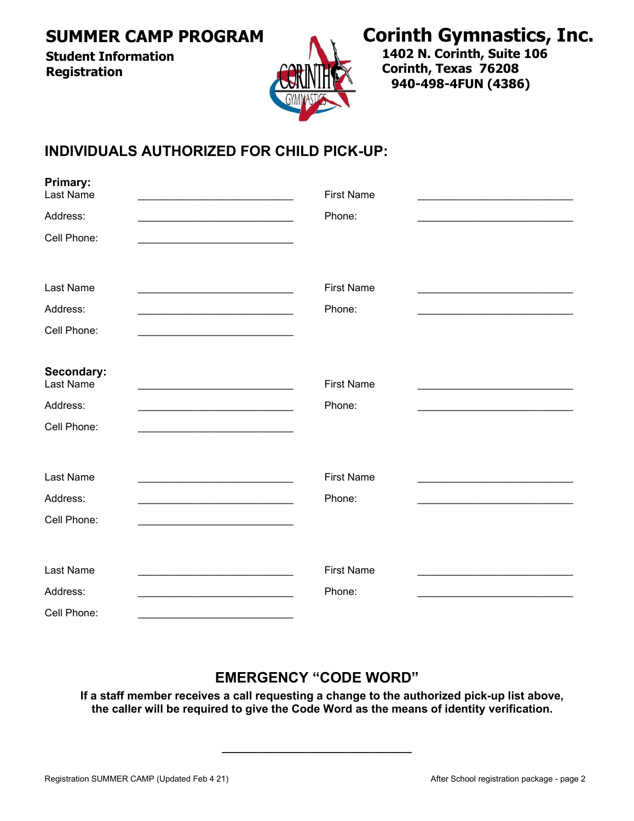**SUMMER CAMP PROGRAM** 

**Student Information Registration**



# **Corinth Gymnastics, Inc.**

**1402 N. Corinth, Suite 106 Corinth, Texas 76208 940-498-4FUN (4386)** 

## **INDIVIDUALS AUTHORIZED FOR CHILD PICK-UP:**

| <b>Primary:</b><br>Last Name                                                                          | <b>First Name</b> |  |
|-------------------------------------------------------------------------------------------------------|-------------------|--|
| Address:<br>the control of the control of the control of the control of the control of the control of | Phone:            |  |
| Cell Phone:                                                                                           |                   |  |
| Last Name                                                                                             | <b>First Name</b> |  |
| Address:                                                                                              | Phone:            |  |
| Cell Phone:                                                                                           |                   |  |
| Secondary:<br>Last Name                                                                               | <b>First Name</b> |  |
| Address:                                                                                              | Phone:            |  |
| Cell Phone:                                                                                           |                   |  |
| Last Name                                                                                             | <b>First Name</b> |  |
| Address:                                                                                              | Phone:            |  |
| Cell Phone:                                                                                           |                   |  |
| Last Name                                                                                             | <b>First Name</b> |  |
| Address:                                                                                              | Phone:            |  |
| Cell Phone:                                                                                           |                   |  |

### **EMERGENCY "CODE WORD"**

**If a staff member receives a call requesting a change to the authorized pick-up list above, the caller will be required to give the Code Word as the means of identity verification.** 

**\_\_\_\_\_\_\_\_\_\_\_\_\_\_\_\_\_\_\_\_\_\_\_\_\_\_\_\_\_\_\_\_\_**